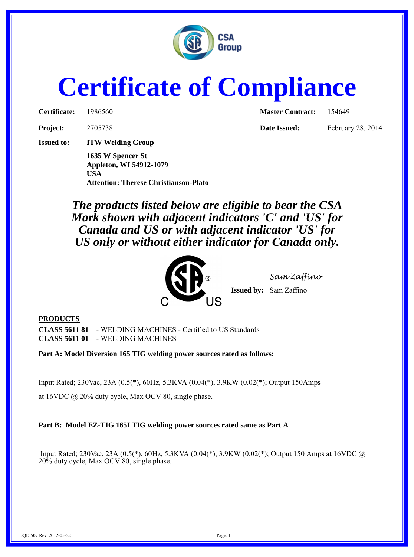

## **Certificate of Compliance**

| Certificate: | 198656 |
|--------------|--------|
|              |        |

**Issued to: ITW Welding Group**

**1635 W Spencer St Appleton, WI 54912-1079 USA Attention: Therese Christianson-Plato**

**Certificate:** 1986560 **Master Contract:** 154649

**Project:** 2705738 **Date Issued:** February 28, 2014

*The products listed below are eligible to bear the CSA Mark shown with adjacent indicators 'C' and 'US' for Canada and US or with adjacent indicator 'US' for US only or without either indicator for Canada only.*



*Sam Zaffino* **Issued by:** Sam Zaffino

## **PRODUCTS**

**CLASS 5611 81** - WELDING MACHINES - Certified to US Standards **CLASS 5611 01** - WELDING MACHINES

**Part A: Model Diversion 165 TIG welding power sources rated as follows:**

Input Rated; 230Vac, 23A (0.5(\*), 60Hz, 5.3KVA (0.04(\*), 3.9KW (0.02(\*); Output 150Amps

at 16VDC @ 20% duty cycle, Max OCV 80, single phase.

**Part B: Model EZ-TIG 165I TIG welding power sources rated same as Part A**

 Input Rated; 230Vac, 23A (0.5(\*), 60Hz, 5.3KVA (0.04(\*), 3.9KW (0.02(\*); Output 150 Amps at 16VDC @ 20% duty cycle, Max OCV 80, single phase.